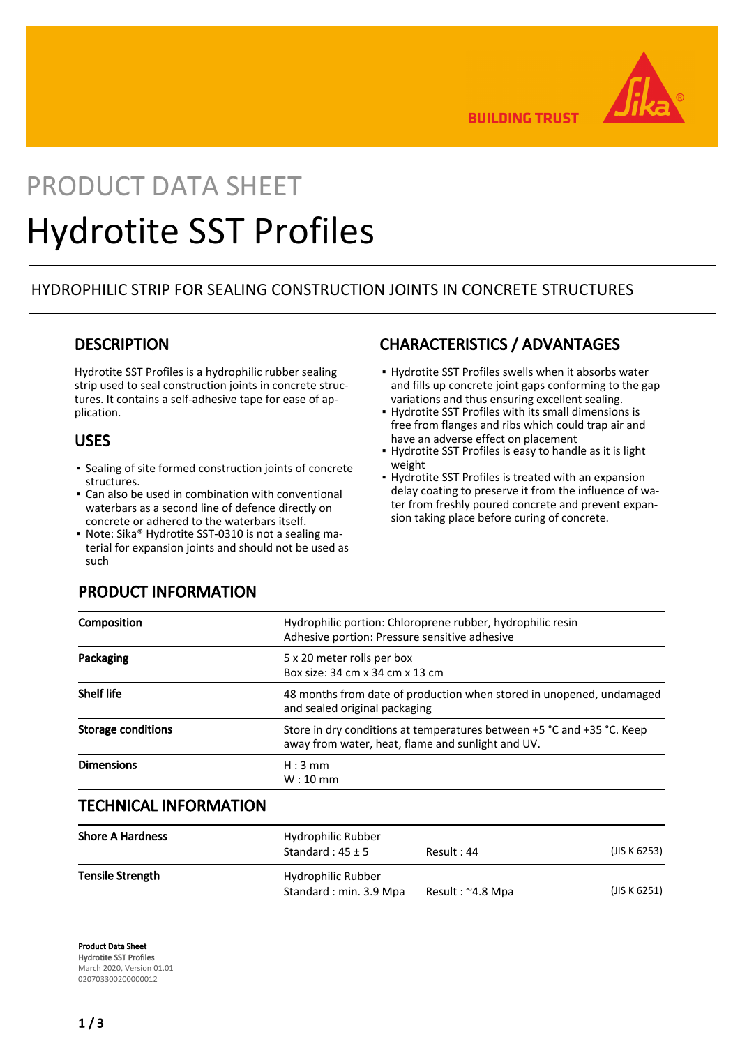

**BUILDING TRUST** 

# PRODUCT DATA SHEET Hydrotite SST Profiles

## HYDROPHILIC STRIP FOR SEALING CONSTRUCTION JOINTS IN CONCRETE STRUCTURES

## **DESCRIPTION**

Hydrotite SST Profiles is a hydrophilic rubber sealing strip used to seal construction joints in concrete structures. It contains a self-adhesive tape for ease of application.

## USES

- Sealing of site formed construction joints of concrete structures.
- Can also be used in combination with conventional waterbars as a second line of defence directly on concrete or adhered to the waterbars itself.
- Note: Sika® Hydrotite SST-0310 is not a sealing material for expansion joints and should not be used as such

# CHARACTERISTICS / ADVANTAGES

- **.** Hydrotite SST Profiles swells when it absorbs water and fills up concrete joint gaps conforming to the gap variations and thus ensuring excellent sealing.
- **Hydrotite SST Profiles with its small dimensions is** free from flanges and ribs which could trap air and have an adverse effect on placement
- **.** Hydrotite SST Profiles is easy to handle as it is light weight
- **.** Hydrotite SST Profiles is treated with an expansion delay coating to preserve it from the influence of water from freshly poured concrete and prevent expansion taking place before curing of concrete.

| Composition        | Hydrophilic portion: Chloroprene rubber, hydrophilic resin<br>Adhesive portion: Pressure sensitive adhesive                 |
|--------------------|-----------------------------------------------------------------------------------------------------------------------------|
| Packaging          | 5 x 20 meter rolls per box<br>Box size: 34 cm x 34 cm x 13 cm                                                               |
| <b>Shelf life</b>  | 48 months from date of production when stored in unopened, undamaged<br>and sealed original packaging                       |
| Storage conditions | Store in dry conditions at temperatures between +5 °C and +35 °C. Keep<br>away from water, heat, flame and sunlight and UV. |
| <b>Dimensions</b>  | $H:3$ mm<br>$W:10$ mm                                                                                                       |

## TECHNICAL INFORMATION

| <b>Shore A Hardness</b> | Hydrophilic Rubber<br>Standard: $45 \pm 5$   | Result: 44       | (JIS K 6253) |
|-------------------------|----------------------------------------------|------------------|--------------|
| <b>Tensile Strength</b> | Hydrophilic Rubber<br>Standard: min. 3.9 Mpa | Result: ~4.8 Mpa | (JIS K 6251) |

Product Data Sheet Hydrotite SST Profiles March 2020, Version 01.01 020703300200000012

# PRODUCT INFORMATION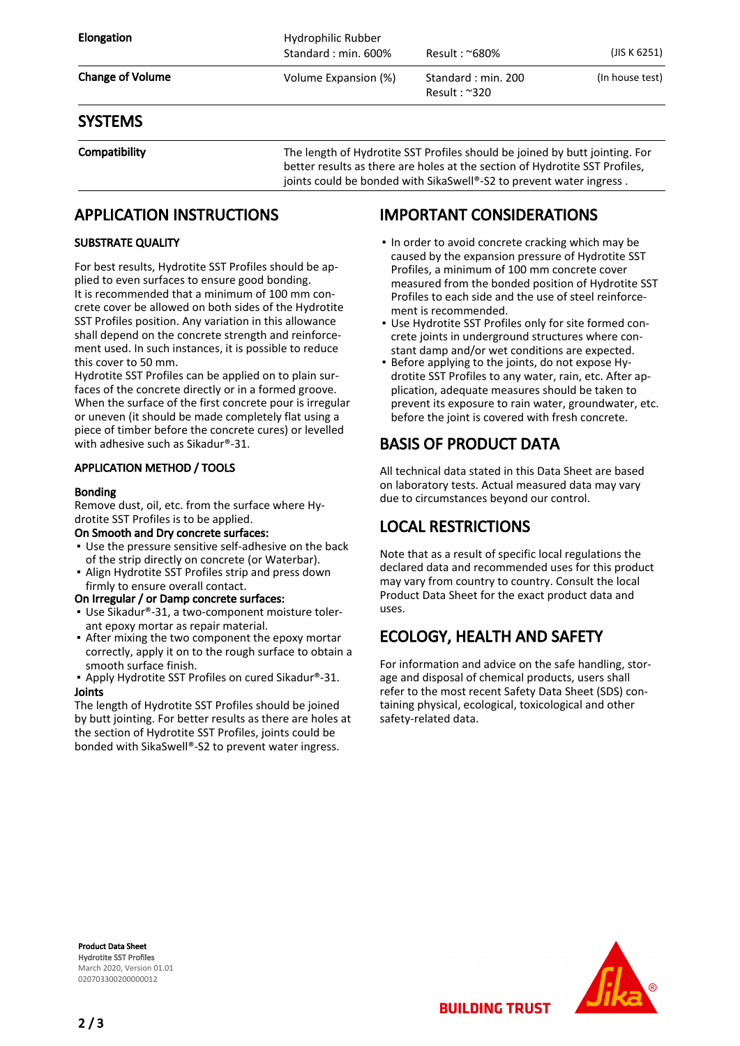| <b>Elongation</b>       | Hydrophilic Rubber<br>Standard: min. 600% | Result : ~680%                              | (JIS K 6251)    |
|-------------------------|-------------------------------------------|---------------------------------------------|-----------------|
| <b>Change of Volume</b> | Volume Expansion (%)                      | Standard: min. 200<br>Result: $\approx$ 320 | (In house test) |

## **SYSTEMS**

Compatibility The length of Hydrotite SST Profiles should be joined by butt jointing. For better results as there are holes at the section of Hydrotite SST Profiles, joints could be bonded with SikaSwell®-S2 to prevent water ingress.

## APPLICATION INSTRUCTIONS

### SUBSTRATE QUALITY

For best results, Hydrotite SST Profiles should be applied to even surfaces to ensure good bonding. It is recommended that a minimum of 100 mm concrete cover be allowed on both sides of the Hydrotite SST Profiles position. Any variation in this allowance shall depend on the concrete strength and reinforcement used. In such instances, it is possible to reduce this cover to 50 mm.

Hydrotite SST Profiles can be applied on to plain surfaces of the concrete directly or in a formed groove. When the surface of the first concrete pour is irregular or uneven (it should be made completely flat using a piece of timber before the concrete cures) or levelled with adhesive such as Sikadur®-31.

## APPLICATION METHOD / TOOLS

#### Bonding

Remove dust, oil, etc. from the surface where Hydrotite SST Profiles is to be applied.

#### On Smooth and Dry concrete surfaces:

- Use the pressure sensitive self-adhesive on the back of the strip directly on concrete (or Waterbar).
- **Align Hydrotite SST Profiles strip and press down** firmly to ensure overall contact.

#### On Irregular / or Damp concrete surfaces:

- Use Sikadur®-31, a two-component moisture tolerant epoxy mortar as repair material.
- **•** After mixing the two component the epoxy mortar correctly, apply it on to the rough surface to obtain a smooth surface finish.
- Apply Hydrotite SST Profiles on cured Sikadur®-31. Joints

The length of Hydrotite SST Profiles should be joined by butt jointing. For better results as there are holes at the section of Hydrotite SST Profiles, joints could be bonded with SikaSwell®-S2 to prevent water ingress.

## IMPORTANT CONSIDERATIONS

- . In order to avoid concrete cracking which may be caused by the expansion pressure of Hydrotite SST Profiles, a minimum of 100 mm concrete cover measured from the bonded position of Hydrotite SST Profiles to each side and the use of steel reinforcement is recommended.
- Use Hydrotite SST Profiles only for site formed con-▪ crete joints in underground structures where constant damp and/or wet conditions are expected.
- Before applying to the joints, do not expose Hydrotite SST Profiles to any water, rain, etc. After application, adequate measures should be taken to prevent its exposure to rain water, groundwater, etc. before the joint is covered with fresh concrete. ▪

# BASIS OF PRODUCT DATA

All technical data stated in this Data Sheet are based on laboratory tests. Actual measured data may vary due to circumstances beyond our control.

# LOCAL RESTRICTIONS

Note that as a result of specific local regulations the declared data and recommended uses for this product may vary from country to country. Consult the local Product Data Sheet for the exact product data and uses.

## ECOLOGY, HEALTH AND SAFETY

For information and advice on the safe handling, storage and disposal of chemical products, users shall refer to the most recent Safety Data Sheet (SDS) containing physical, ecological, toxicological and other safety-related data.

Product Data Sheet Hydrotite SST Profiles March 2020, Version 01.01 020703300200000012



**BUILDING TRUST**